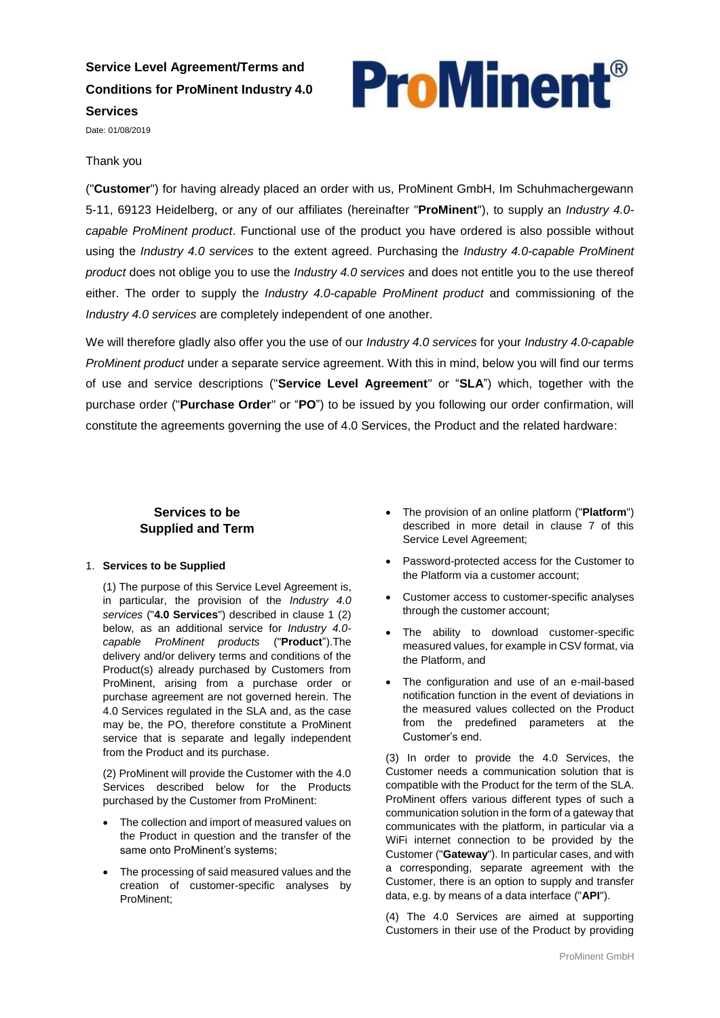# **Service Level Agreement/Terms and Conditions for ProMinent Industry 4.0 Services**

**ProMinent**®

Date: 01/08/2019

#### Thank you

("**Customer**") for having already placed an order with us, ProMinent GmbH, Im Schuhmachergewann 5-11, 69123 Heidelberg, or any of our affiliates (hereinafter "**ProMinent**"), to supply an *Industry 4.0 capable ProMinent product*. Functional use of the product you have ordered is also possible without using the *Industry 4.0 services* to the extent agreed. Purchasing the *Industry 4.0-capable ProMinent product* does not oblige you to use the *Industry 4.0 services* and does not entitle you to the use thereof either. The order to supply the *Industry 4.0-capable ProMinent product* and commissioning of the *Industry 4.0 services* are completely independent of one another.

We will therefore gladly also offer you the use of our *Industry 4.0 services* for your *Industry 4.0-capable ProMinent product* under a separate service agreement. With this in mind, below you will find our terms of use and service descriptions ("**Service Level Agreement**" or "**SLA**") which, together with the purchase order ("**Purchase Order**" or "**PO**") to be issued by you following our order confirmation, will constitute the agreements governing the use of 4.0 Services, the Product and the related hardware:

### **Services to be Supplied and Term**

#### 1. **Services to be Supplied**

(1) The purpose of this Service Level Agreement is, in particular, the provision of the *Industry 4.0 services* ("**4.0 Services**") described in clause 1 (2) below, as an additional service for *Industry 4.0 capable ProMinent products* ("**Product**").The delivery and/or delivery terms and conditions of the Product(s) already purchased by Customers from ProMinent, arising from a purchase order or purchase agreement are not governed herein. The 4.0 Services regulated in the SLA and, as the case may be, the PO, therefore constitute a ProMinent service that is separate and legally independent from the Product and its purchase.

(2) ProMinent will provide the Customer with the 4.0 Services described below for the Products purchased by the Customer from ProMinent:

- The collection and import of measured values on the Product in question and the transfer of the same onto ProMinent's systems;
- The processing of said measured values and the creation of customer-specific analyses by ProMinent;
- The provision of an online platform ("**Platform**") described in more detail in clause 7 of this Service Level Agreement;
- Password-protected access for the Customer to the Platform via a customer account;
- Customer access to customer-specific analyses through the customer account;
- The ability to download customer-specific measured values, for example in CSV format, via the Platform, and
- The configuration and use of an e-mail-based notification function in the event of deviations in the measured values collected on the Product from the predefined parameters at the Customer's end.

(3) In order to provide the 4.0 Services, the Customer needs a communication solution that is compatible with the Product for the term of the SLA. ProMinent offers various different types of such a communication solution in the form of a gateway that communicates with the platform, in particular via a WiFi internet connection to be provided by the Customer ("**Gateway**"). In particular cases, and with a corresponding, separate agreement with the Customer, there is an option to supply and transfer data, e.g. by means of a data interface ("**API**").

(4) The 4.0 Services are aimed at supporting Customers in their use of the Product by providing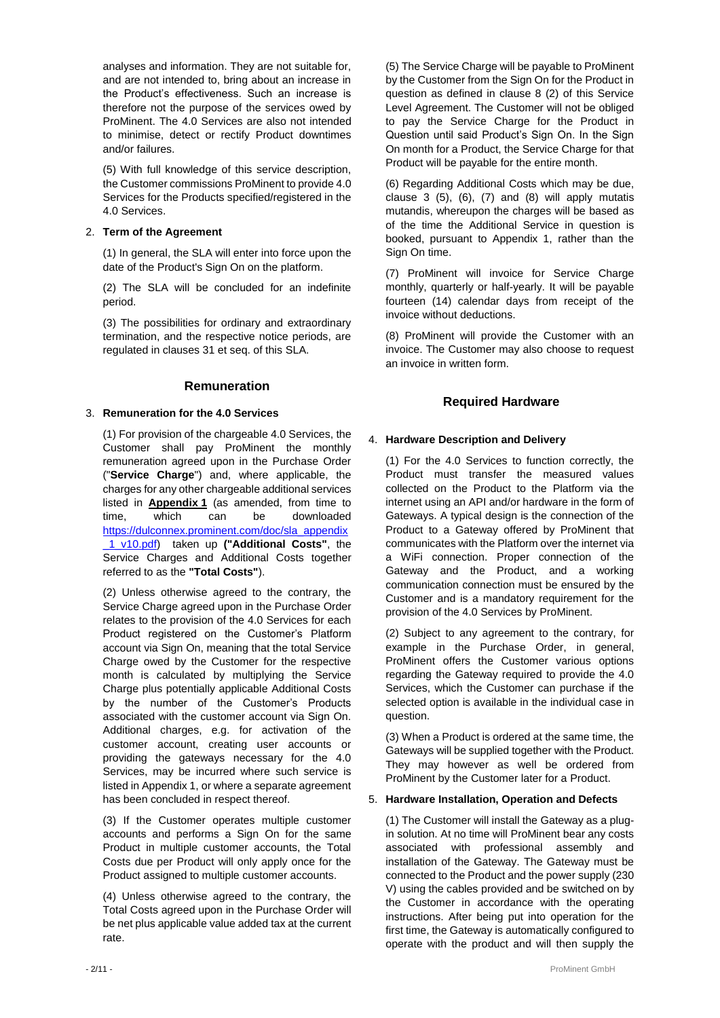analyses and information. They are not suitable for, and are not intended to, bring about an increase in the Product's effectiveness. Such an increase is therefore not the purpose of the services owed by ProMinent. The 4.0 Services are also not intended to minimise, detect or rectify Product downtimes and/or failures.

(5) With full knowledge of this service description, the Customer commissions ProMinent to provide 4.0 Services for the Products specified/registered in the 4.0 Services.

#### 2. **Term of the Agreement**

(1) In general, the SLA will enter into force upon the date of the Product's Sign On on the platform.

(2) The SLA will be concluded for an indefinite period.

(3) The possibilities for ordinary and extraordinary termination, and the respective notice periods, are regulated in clauses 31 et seq. of this SLA.

#### **Remuneration**

#### 3. **Remuneration for the 4.0 Services**

(1) For provision of the chargeable 4.0 Services, the Customer shall pay ProMinent the monthly remuneration agreed upon in the Purchase Order ("**Service Charge**") and, where applicable, the charges for any other chargeable additional services listed in **Appendix 1** (as amended, from time to time, which can be downloaded [https://dulconnex.prominent.com/doc/sla\\_appendix](https://dulconnex.prominent.com/doc/sla_appendix_1_v10.pdf) [\\_1\\_v10.pdf\)](https://dulconnex.prominent.com/doc/sla_appendix_1_v10.pdf) taken up **("Additional Costs"**, the Service Charges and Additional Costs together referred to as the **"Total Costs"**).

(2) Unless otherwise agreed to the contrary, the Service Charge agreed upon in the Purchase Order relates to the provision of the 4.0 Services for each Product registered on the Customer's Platform account via Sign On, meaning that the total Service Charge owed by the Customer for the respective month is calculated by multiplying the Service Charge plus potentially applicable Additional Costs by the number of the Customer's Products associated with the customer account via Sign On. Additional charges, e.g. for activation of the customer account, creating user accounts or providing the gateways necessary for the 4.0 Services, may be incurred where such service is listed in Appendix 1, or where a separate agreement has been concluded in respect thereof.

(3) If the Customer operates multiple customer accounts and performs a Sign On for the same Product in multiple customer accounts, the Total Costs due per Product will only apply once for the Product assigned to multiple customer accounts.

(4) Unless otherwise agreed to the contrary, the Total Costs agreed upon in the Purchase Order will be net plus applicable value added tax at the current rate.

(5) The Service Charge will be payable to ProMinent by the Customer from the Sign On for the Product in question as defined in clause 8 (2) of this Service Level Agreement. The Customer will not be obliged to pay the Service Charge for the Product in Question until said Product's Sign On. In the Sign On month for a Product, the Service Charge for that Product will be payable for the entire month.

(6) Regarding Additional Costs which may be due, clause  $3$  (5), (6), (7) and (8) will apply mutatis mutandis, whereupon the charges will be based as of the time the Additional Service in question is booked, pursuant to Appendix 1, rather than the Sign On time.

(7) ProMinent will invoice for Service Charge monthly, quarterly or half-yearly. It will be payable fourteen (14) calendar days from receipt of the invoice without deductions.

(8) ProMinent will provide the Customer with an invoice. The Customer may also choose to request an invoice in written form.

### **Required Hardware**

#### 4. **Hardware Description and Delivery**

(1) For the 4.0 Services to function correctly, the Product must transfer the measured values collected on the Product to the Platform via the internet using an API and/or hardware in the form of Gateways. A typical design is the connection of the Product to a Gateway offered by ProMinent that communicates with the Platform over the internet via a WiFi connection. Proper connection of the Gateway and the Product, and a working communication connection must be ensured by the Customer and is a mandatory requirement for the provision of the 4.0 Services by ProMinent.

(2) Subject to any agreement to the contrary, for example in the Purchase Order, in general, ProMinent offers the Customer various options regarding the Gateway required to provide the 4.0 Services, which the Customer can purchase if the selected option is available in the individual case in question.

(3) When a Product is ordered at the same time, the Gateways will be supplied together with the Product. They may however as well be ordered from ProMinent by the Customer later for a Product.

#### 5. **Hardware Installation, Operation and Defects**

(1) The Customer will install the Gateway as a plugin solution. At no time will ProMinent bear any costs associated with professional assembly and installation of the Gateway. The Gateway must be connected to the Product and the power supply (230 V) using the cables provided and be switched on by the Customer in accordance with the operating instructions. After being put into operation for the first time, the Gateway is automatically configured to operate with the product and will then supply the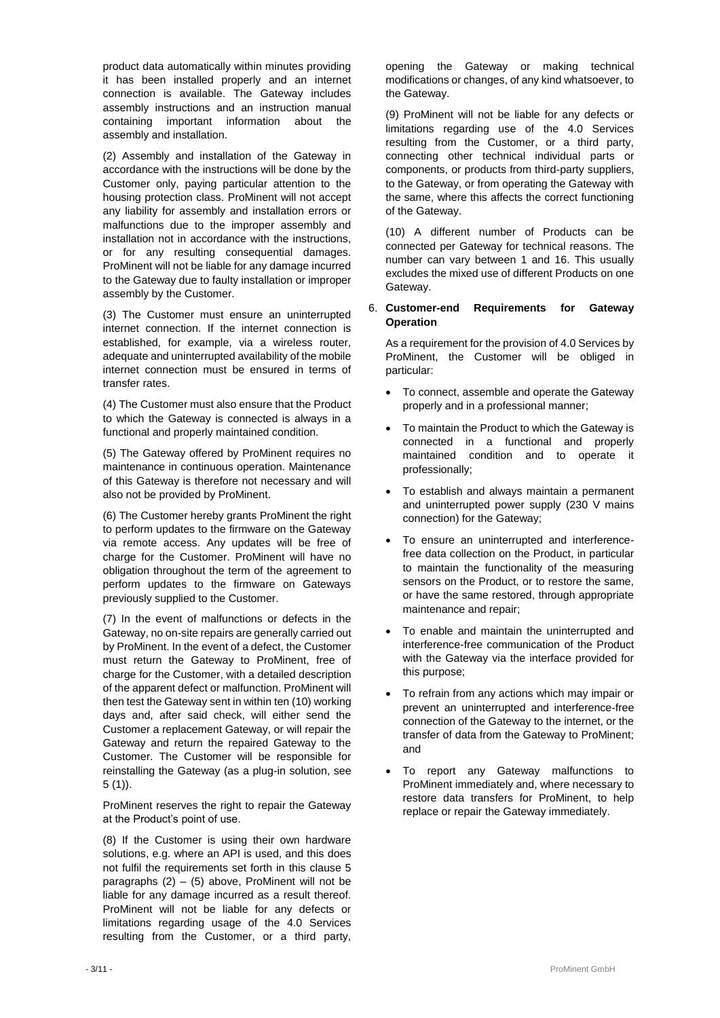product data automatically within minutes providing it has been installed properly and an internet connection is available. The Gateway includes assembly instructions and an instruction manual containing important information about the assembly and installation.

(2) Assembly and installation of the Gateway in accordance with the instructions will be done by the Customer only, paying particular attention to the housing protection class. ProMinent will not accept any liability for assembly and installation errors or malfunctions due to the improper assembly and installation not in accordance with the instructions, or for any resulting consequential damages. ProMinent will not be liable for any damage incurred to the Gateway due to faulty installation or improper assembly by the Customer.

(3) The Customer must ensure an uninterrupted internet connection. If the internet connection is established, for example, via a wireless router, adequate and uninterrupted availability of the mobile internet connection must be ensured in terms of transfer rates.

(4) The Customer must also ensure that the Product to which the Gateway is connected is always in a functional and properly maintained condition.

(5) The Gateway offered by ProMinent requires no maintenance in continuous operation. Maintenance of this Gateway is therefore not necessary and will also not be provided by ProMinent.

(6) The Customer hereby grants ProMinent the right to perform updates to the firmware on the Gateway via remote access. Any updates will be free of charge for the Customer. ProMinent will have no obligation throughout the term of the agreement to perform updates to the firmware on Gateways previously supplied to the Customer.

(7) In the event of malfunctions or defects in the Gateway, no on-site repairs are generally carried out by ProMinent. In the event of a defect, the Customer must return the Gateway to ProMinent, free of charge for the Customer, with a detailed description of the apparent defect or malfunction. ProMinent will then test the Gateway sent in within ten (10) working days and, after said check, will either send the Customer a replacement Gateway, or will repair the Gateway and return the repaired Gateway to the Customer. The Customer will be responsible for reinstalling the Gateway (as a plug-in solution, see 5 (1)).

ProMinent reserves the right to repair the Gateway at the Product's point of use.

(8) If the Customer is using their own hardware solutions, e.g. where an API is used, and this does not fulfil the requirements set forth in this clause 5 paragraphs  $(2) - (5)$  above, ProMinent will not be liable for any damage incurred as a result thereof. ProMinent will not be liable for any defects or limitations regarding usage of the 4.0 Services resulting from the Customer, or a third party,

opening the Gateway or making technical modifications or changes, of any kind whatsoever, to the Gateway.

(9) ProMinent will not be liable for any defects or limitations regarding use of the 4.0 Services resulting from the Customer, or a third party, connecting other technical individual parts or components, or products from third-party suppliers, to the Gateway, or from operating the Gateway with the same, where this affects the correct functioning of the Gateway.

(10) A different number of Products can be connected per Gateway for technical reasons. The number can vary between 1 and 16. This usually excludes the mixed use of different Products on one Gateway.

#### 6. **Customer-end Requirements for Gateway Operation**

As a requirement for the provision of 4.0 Services by ProMinent, the Customer will be obliged in particular:

- To connect, assemble and operate the Gateway properly and in a professional manner;
- To maintain the Product to which the Gateway is connected in a functional and properly maintained condition and to operate it professionally;
- To establish and always maintain a permanent and uninterrupted power supply (230 V mains connection) for the Gateway;
- To ensure an uninterrupted and interferencefree data collection on the Product, in particular to maintain the functionality of the measuring sensors on the Product, or to restore the same, or have the same restored, through appropriate maintenance and repair;
- To enable and maintain the uninterrupted and interference-free communication of the Product with the Gateway via the interface provided for this purpose;
- To refrain from any actions which may impair or prevent an uninterrupted and interference-free connection of the Gateway to the internet, or the transfer of data from the Gateway to ProMinent; and
- To report any Gateway malfunctions to ProMinent immediately and, where necessary to restore data transfers for ProMinent, to help replace or repair the Gateway immediately.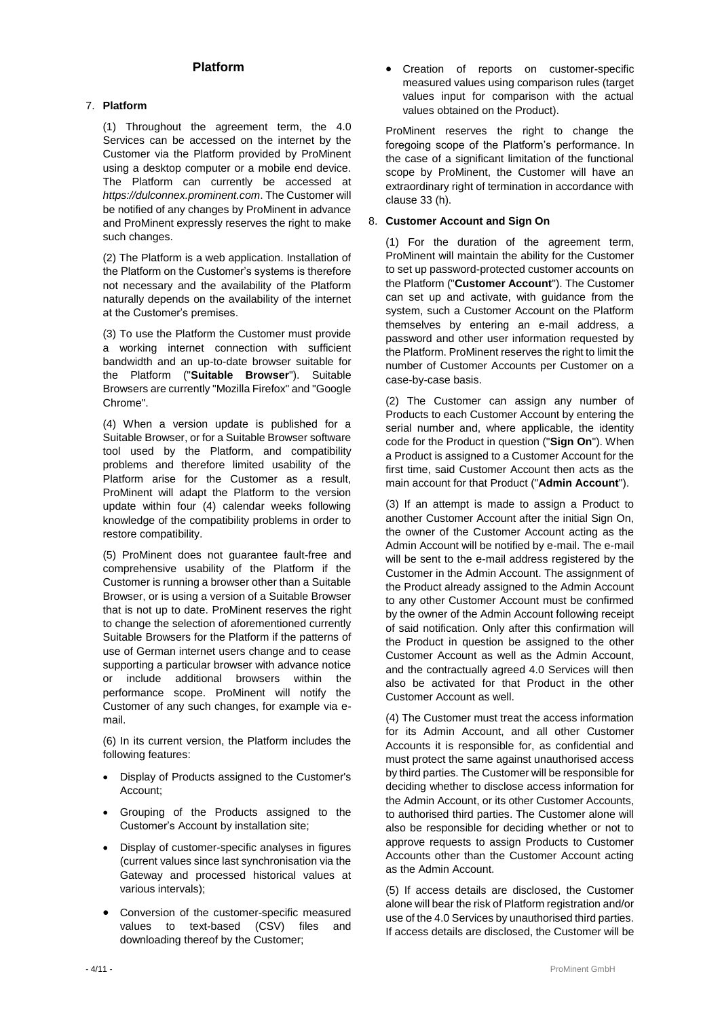## **Platform**

#### 7. **Platform**

(1) Throughout the agreement term, the 4.0 Services can be accessed on the internet by the Customer via the Platform provided by ProMinent using a desktop computer or a mobile end device. The Platform can currently be accessed at *https://dulconnex.prominent.com*. The Customer will be notified of any changes by ProMinent in advance and ProMinent expressly reserves the right to make such changes.

(2) The Platform is a web application. Installation of the Platform on the Customer's systems is therefore not necessary and the availability of the Platform naturally depends on the availability of the internet at the Customer's premises.

(3) To use the Platform the Customer must provide a working internet connection with sufficient bandwidth and an up-to-date browser suitable for the Platform ("**Suitable Browser**"). Suitable Browsers are currently "Mozilla Firefox" and "Google Chrome".

(4) When a version update is published for a Suitable Browser, or for a Suitable Browser software tool used by the Platform, and compatibility problems and therefore limited usability of the Platform arise for the Customer as a result, ProMinent will adapt the Platform to the version update within four (4) calendar weeks following knowledge of the compatibility problems in order to restore compatibility.

(5) ProMinent does not guarantee fault-free and comprehensive usability of the Platform if the Customer is running a browser other than a Suitable Browser, or is using a version of a Suitable Browser that is not up to date. ProMinent reserves the right to change the selection of aforementioned currently Suitable Browsers for the Platform if the patterns of use of German internet users change and to cease supporting a particular browser with advance notice or include additional browsers within the performance scope. ProMinent will notify the Customer of any such changes, for example via email.

(6) In its current version, the Platform includes the following features:

- Display of Products assigned to the Customer's Account;
- Grouping of the Products assigned to the Customer's Account by installation site;
- Display of customer-specific analyses in figures (current values since last synchronisation via the Gateway and processed historical values at various intervals);
- Conversion of the customer-specific measured values to text-based (CSV) files and downloading thereof by the Customer;

• Creation of reports on customer-specific measured values using comparison rules (target values input for comparison with the actual values obtained on the Product).

ProMinent reserves the right to change the foregoing scope of the Platform's performance. In the case of a significant limitation of the functional scope by ProMinent, the Customer will have an extraordinary right of termination in accordance with clause 33 (h).

#### 8. **Customer Account and Sign On**

(1) For the duration of the agreement term, ProMinent will maintain the ability for the Customer to set up password-protected customer accounts on the Platform ("**Customer Account**"). The Customer can set up and activate, with guidance from the system, such a Customer Account on the Platform themselves by entering an e-mail address, a password and other user information requested by the Platform. ProMinent reserves the right to limit the number of Customer Accounts per Customer on a case-by-case basis.

(2) The Customer can assign any number of Products to each Customer Account by entering the serial number and, where applicable, the identity code for the Product in question ("**Sign On**"). When a Product is assigned to a Customer Account for the first time, said Customer Account then acts as the main account for that Product ("**Admin Account**").

(3) If an attempt is made to assign a Product to another Customer Account after the initial Sign On, the owner of the Customer Account acting as the Admin Account will be notified by e-mail. The e-mail will be sent to the e-mail address registered by the Customer in the Admin Account. The assignment of the Product already assigned to the Admin Account to any other Customer Account must be confirmed by the owner of the Admin Account following receipt of said notification. Only after this confirmation will the Product in question be assigned to the other Customer Account as well as the Admin Account, and the contractually agreed 4.0 Services will then also be activated for that Product in the other Customer Account as well.

(4) The Customer must treat the access information for its Admin Account, and all other Customer Accounts it is responsible for, as confidential and must protect the same against unauthorised access by third parties. The Customer will be responsible for deciding whether to disclose access information for the Admin Account, or its other Customer Accounts, to authorised third parties. The Customer alone will also be responsible for deciding whether or not to approve requests to assign Products to Customer Accounts other than the Customer Account acting as the Admin Account.

(5) If access details are disclosed, the Customer alone will bear the risk of Platform registration and/or use of the 4.0 Services by unauthorised third parties. If access details are disclosed, the Customer will be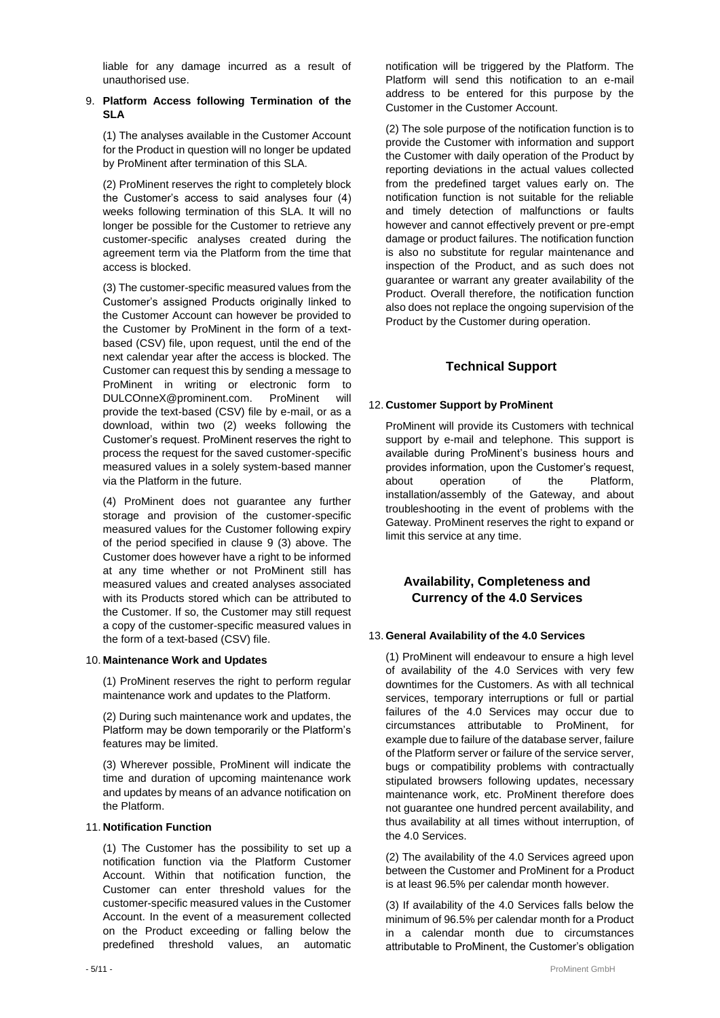liable for any damage incurred as a result of unauthorised use.

#### 9. **Platform Access following Termination of the SLA**

(1) The analyses available in the Customer Account for the Product in question will no longer be updated by ProMinent after termination of this SLA.

(2) ProMinent reserves the right to completely block the Customer's access to said analyses four (4) weeks following termination of this SLA. It will no longer be possible for the Customer to retrieve any customer-specific analyses created during the agreement term via the Platform from the time that access is blocked.

(3) The customer-specific measured values from the Customer's assigned Products originally linked to the Customer Account can however be provided to the Customer by ProMinent in the form of a textbased (CSV) file, upon request, until the end of the next calendar year after the access is blocked. The Customer can request this by sending a message to ProMinent in writing or electronic form to DULCOnneX@prominent.com. ProMinent will provide the text-based (CSV) file by e-mail, or as a download, within two (2) weeks following the Customer's request. ProMinent reserves the right to process the request for the saved customer-specific measured values in a solely system-based manner via the Platform in the future.

(4) ProMinent does not guarantee any further storage and provision of the customer-specific measured values for the Customer following expiry of the period specified in clause 9 (3) above. The Customer does however have a right to be informed at any time whether or not ProMinent still has measured values and created analyses associated with its Products stored which can be attributed to the Customer. If so, the Customer may still request a copy of the customer-specific measured values in the form of a text-based (CSV) file.

#### 10. **Maintenance Work and Updates**

(1) ProMinent reserves the right to perform regular maintenance work and updates to the Platform.

(2) During such maintenance work and updates, the Platform may be down temporarily or the Platform's features may be limited.

(3) Wherever possible, ProMinent will indicate the time and duration of upcoming maintenance work and updates by means of an advance notification on the Platform.

#### 11. **Notification Function**

(1) The Customer has the possibility to set up a notification function via the Platform Customer Account. Within that notification function, the Customer can enter threshold values for the customer-specific measured values in the Customer Account. In the event of a measurement collected on the Product exceeding or falling below the predefined threshold values, an automatic

notification will be triggered by the Platform. The Platform will send this notification to an e-mail address to be entered for this purpose by the Customer in the Customer Account.

(2) The sole purpose of the notification function is to provide the Customer with information and support the Customer with daily operation of the Product by reporting deviations in the actual values collected from the predefined target values early on. The notification function is not suitable for the reliable and timely detection of malfunctions or faults however and cannot effectively prevent or pre-empt damage or product failures. The notification function is also no substitute for regular maintenance and inspection of the Product, and as such does not guarantee or warrant any greater availability of the Product. Overall therefore, the notification function also does not replace the ongoing supervision of the Product by the Customer during operation.

## **Technical Support**

#### 12. **Customer Support by ProMinent**

ProMinent will provide its Customers with technical support by e-mail and telephone. This support is available during ProMinent's business hours and provides information, upon the Customer's request, about operation of the Platform, installation/assembly of the Gateway, and about troubleshooting in the event of problems with the Gateway. ProMinent reserves the right to expand or limit this service at any time.

### **Availability, Completeness and Currency of the 4.0 Services**

#### 13. **General Availability of the 4.0 Services**

(1) ProMinent will endeavour to ensure a high level of availability of the 4.0 Services with very few downtimes for the Customers. As with all technical services, temporary interruptions or full or partial failures of the 4.0 Services may occur due to circumstances attributable to ProMinent, for example due to failure of the database server, failure of the Platform server or failure of the service server, bugs or compatibility problems with contractually stipulated browsers following updates, necessary maintenance work, etc. ProMinent therefore does not guarantee one hundred percent availability, and thus availability at all times without interruption, of the 4.0 Services.

(2) The availability of the 4.0 Services agreed upon between the Customer and ProMinent for a Product is at least 96.5% per calendar month however.

(3) If availability of the 4.0 Services falls below the minimum of 96.5% per calendar month for a Product in a calendar month due to circumstances attributable to ProMinent, the Customer's obligation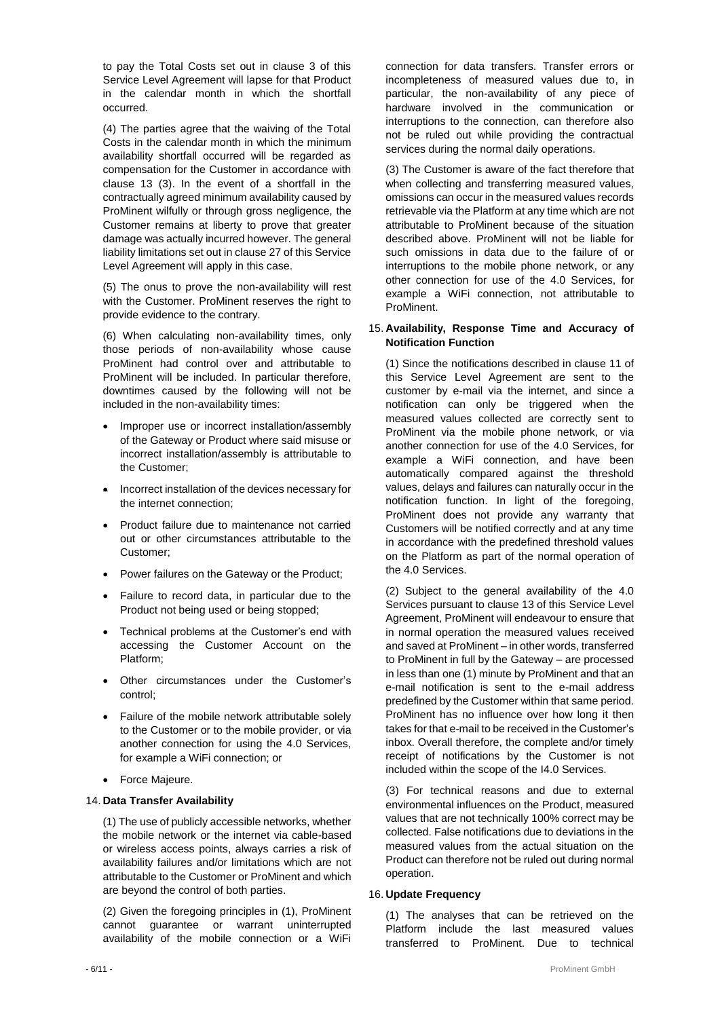to pay the Total Costs set out in clause 3 of this Service Level Agreement will lapse for that Product in the calendar month in which the shortfall occurred.

(4) The parties agree that the waiving of the Total Costs in the calendar month in which the minimum availability shortfall occurred will be regarded as compensation for the Customer in accordance with clause 13 (3). In the event of a shortfall in the contractually agreed minimum availability caused by ProMinent wilfully or through gross negligence, the Customer remains at liberty to prove that greater damage was actually incurred however. The general liability limitations set out in clause 27 of this Service Level Agreement will apply in this case.

(5) The onus to prove the non-availability will rest with the Customer. ProMinent reserves the right to provide evidence to the contrary.

(6) When calculating non-availability times, only those periods of non-availability whose cause ProMinent had control over and attributable to ProMinent will be included. In particular therefore, downtimes caused by the following will not be included in the non-availability times:

- Improper use or incorrect installation/assembly of the Gateway or Product where said misuse or incorrect installation/assembly is attributable to the Customer;
- Incorrect installation of the devices necessary for the internet connection;
- Product failure due to maintenance not carried out or other circumstances attributable to the Customer;
- Power failures on the Gateway or the Product;
- Failure to record data, in particular due to the Product not being used or being stopped;
- Technical problems at the Customer's end with accessing the Customer Account on the Platform;
- Other circumstances under the Customer's control;
- Failure of the mobile network attributable solely to the Customer or to the mobile provider, or via another connection for using the 4.0 Services, for example a WiFi connection; or
- Force Majeure.

#### 14. **Data Transfer Availability**

(1) The use of publicly accessible networks, whether the mobile network or the internet via cable-based or wireless access points, always carries a risk of availability failures and/or limitations which are not attributable to the Customer or ProMinent and which are beyond the control of both parties.

(2) Given the foregoing principles in (1), ProMinent cannot guarantee or warrant uninterrupted availability of the mobile connection or a WiFi

connection for data transfers. Transfer errors or incompleteness of measured values due to, in particular, the non-availability of any piece of hardware involved in the communication or interruptions to the connection, can therefore also not be ruled out while providing the contractual services during the normal daily operations.

(3) The Customer is aware of the fact therefore that when collecting and transferring measured values, omissions can occur in the measured values records retrievable via the Platform at any time which are not attributable to ProMinent because of the situation described above. ProMinent will not be liable for such omissions in data due to the failure of or interruptions to the mobile phone network, or any other connection for use of the 4.0 Services, for example a WiFi connection, not attributable to ProMinent.

#### 15. **Availability, Response Time and Accuracy of Notification Function**

(1) Since the notifications described in clause 11 of this Service Level Agreement are sent to the customer by e-mail via the internet, and since a notification can only be triggered when the measured values collected are correctly sent to ProMinent via the mobile phone network, or via another connection for use of the 4.0 Services, for example a WiFi connection, and have been automatically compared against the threshold values, delays and failures can naturally occur in the notification function. In light of the foregoing, ProMinent does not provide any warranty that Customers will be notified correctly and at any time in accordance with the predefined threshold values on the Platform as part of the normal operation of the 4.0 Services.

(2) Subject to the general availability of the 4.0 Services pursuant to clause 13 of this Service Level Agreement, ProMinent will endeavour to ensure that in normal operation the measured values received and saved at ProMinent – in other words, transferred to ProMinent in full by the Gateway – are processed in less than one (1) minute by ProMinent and that an e-mail notification is sent to the e-mail address predefined by the Customer within that same period. ProMinent has no influence over how long it then takes for that e-mail to be received in the Customer's inbox. Overall therefore, the complete and/or timely receipt of notifications by the Customer is not included within the scope of the I4.0 Services.

(3) For technical reasons and due to external environmental influences on the Product, measured values that are not technically 100% correct may be collected. False notifications due to deviations in the measured values from the actual situation on the Product can therefore not be ruled out during normal operation.

#### 16. **Update Frequency**

(1) The analyses that can be retrieved on the Platform include the last measured values transferred to ProMinent. Due to technical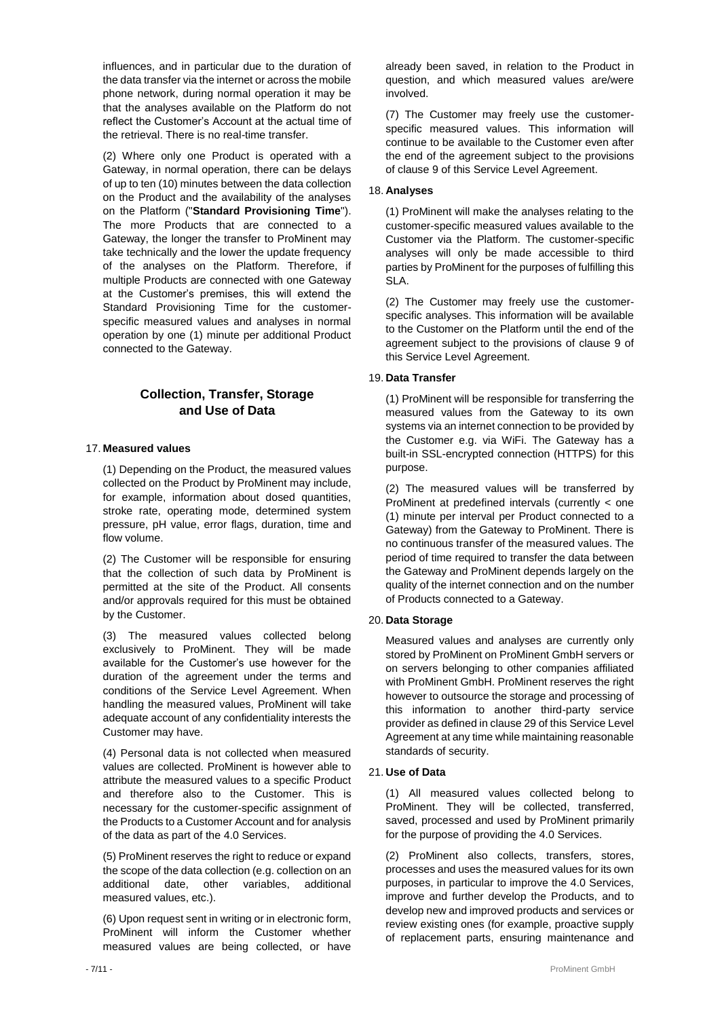influences, and in particular due to the duration of the data transfer via the internet or across the mobile phone network, during normal operation it may be that the analyses available on the Platform do not reflect the Customer's Account at the actual time of the retrieval. There is no real-time transfer.

(2) Where only one Product is operated with a Gateway, in normal operation, there can be delays of up to ten (10) minutes between the data collection on the Product and the availability of the analyses on the Platform ("**Standard Provisioning Time**"). The more Products that are connected to a Gateway, the longer the transfer to ProMinent may take technically and the lower the update frequency of the analyses on the Platform. Therefore, if multiple Products are connected with one Gateway at the Customer's premises, this will extend the Standard Provisioning Time for the customerspecific measured values and analyses in normal operation by one (1) minute per additional Product connected to the Gateway.

## **Collection, Transfer, Storage and Use of Data**

#### 17. **Measured values**

(1) Depending on the Product, the measured values collected on the Product by ProMinent may include, for example, information about dosed quantities, stroke rate, operating mode, determined system pressure, pH value, error flags, duration, time and flow volume.

(2) The Customer will be responsible for ensuring that the collection of such data by ProMinent is permitted at the site of the Product. All consents and/or approvals required for this must be obtained by the Customer.

(3) The measured values collected belong exclusively to ProMinent. They will be made available for the Customer's use however for the duration of the agreement under the terms and conditions of the Service Level Agreement. When handling the measured values, ProMinent will take adequate account of any confidentiality interests the Customer may have.

(4) Personal data is not collected when measured values are collected. ProMinent is however able to attribute the measured values to a specific Product and therefore also to the Customer. This is necessary for the customer-specific assignment of the Products to a Customer Account and for analysis of the data as part of the 4.0 Services.

(5) ProMinent reserves the right to reduce or expand the scope of the data collection (e.g. collection on an additional date, other variables, additional measured values, etc.).

(6) Upon request sent in writing or in electronic form, ProMinent will inform the Customer whether measured values are being collected, or have

already been saved, in relation to the Product in question, and which measured values are/were involved.

(7) The Customer may freely use the customerspecific measured values. This information will continue to be available to the Customer even after the end of the agreement subject to the provisions of clause 9 of this Service Level Agreement.

#### 18. **Analyses**

(1) ProMinent will make the analyses relating to the customer-specific measured values available to the Customer via the Platform. The customer-specific analyses will only be made accessible to third parties by ProMinent for the purposes of fulfilling this SLA.

(2) The Customer may freely use the customerspecific analyses. This information will be available to the Customer on the Platform until the end of the agreement subject to the provisions of clause 9 of this Service Level Agreement.

#### 19. **Data Transfer**

(1) ProMinent will be responsible for transferring the measured values from the Gateway to its own systems via an internet connection to be provided by the Customer e.g. via WiFi. The Gateway has a built-in SSL-encrypted connection (HTTPS) for this purpose.

(2) The measured values will be transferred by ProMinent at predefined intervals (currently < one (1) minute per interval per Product connected to a Gateway) from the Gateway to ProMinent. There is no continuous transfer of the measured values. The period of time required to transfer the data between the Gateway and ProMinent depends largely on the quality of the internet connection and on the number of Products connected to a Gateway.

#### 20. **Data Storage**

Measured values and analyses are currently only stored by ProMinent on ProMinent GmbH servers or on servers belonging to other companies affiliated with ProMinent GmbH. ProMinent reserves the right however to outsource the storage and processing of this information to another third-party service provider as defined in clause 29 of this Service Level Agreement at any time while maintaining reasonable standards of security.

#### 21. **Use of Data**

(1) All measured values collected belong to ProMinent. They will be collected, transferred, saved, processed and used by ProMinent primarily for the purpose of providing the 4.0 Services.

(2) ProMinent also collects, transfers, stores, processes and uses the measured values for its own purposes, in particular to improve the 4.0 Services, improve and further develop the Products, and to develop new and improved products and services or review existing ones (for example, proactive supply of replacement parts, ensuring maintenance and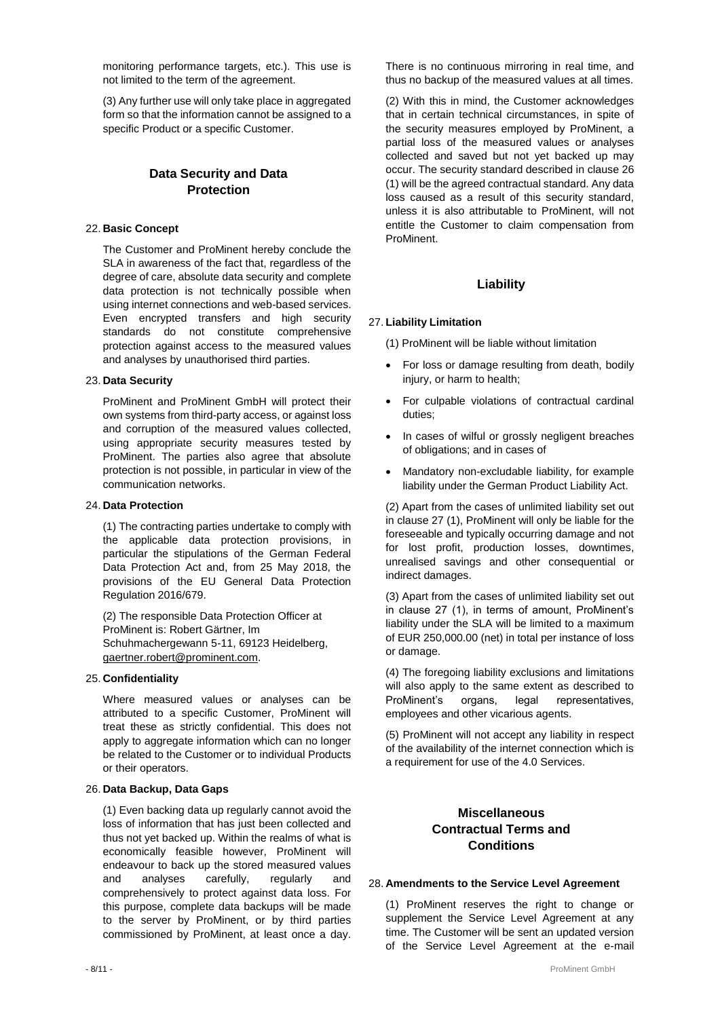monitoring performance targets, etc.). This use is not limited to the term of the agreement.

(3) Any further use will only take place in aggregated form so that the information cannot be assigned to a specific Product or a specific Customer.

## **Data Security and Data Protection**

#### 22. **Basic Concept**

The Customer and ProMinent hereby conclude the SLA in awareness of the fact that, regardless of the degree of care, absolute data security and complete data protection is not technically possible when using internet connections and web-based services. Even encrypted transfers and high security standards do not constitute comprehensive protection against access to the measured values and analyses by unauthorised third parties.

#### 23. **Data Security**

ProMinent and ProMinent GmbH will protect their own systems from third-party access, or against loss and corruption of the measured values collected, using appropriate security measures tested by ProMinent. The parties also agree that absolute protection is not possible, in particular in view of the communication networks.

#### 24. **Data Protection**

(1) The contracting parties undertake to comply with the applicable data protection provisions, in particular the stipulations of the German Federal Data Protection Act and, from 25 May 2018, the provisions of the EU General Data Protection Regulation 2016/679.

(2) The responsible Data Protection Officer at ProMinent is: Robert Gärtner, Im Schuhmachergewann 5-11, 69123 Heidelberg, gaertner.robert@prominent.com.

#### 25. **Confidentiality**

Where measured values or analyses can be attributed to a specific Customer, ProMinent will treat these as strictly confidential. This does not apply to aggregate information which can no longer be related to the Customer or to individual Products or their operators.

#### 26. **Data Backup, Data Gaps**

(1) Even backing data up regularly cannot avoid the loss of information that has just been collected and thus not yet backed up. Within the realms of what is economically feasible however, ProMinent will endeavour to back up the stored measured values and analyses carefully, regularly and comprehensively to protect against data loss. For this purpose, complete data backups will be made to the server by ProMinent, or by third parties commissioned by ProMinent, at least once a day.

There is no continuous mirroring in real time, and thus no backup of the measured values at all times.

(2) With this in mind, the Customer acknowledges that in certain technical circumstances, in spite of the security measures employed by ProMinent, a partial loss of the measured values or analyses collected and saved but not yet backed up may occur. The security standard described in clause 26 (1) will be the agreed contractual standard. Any data loss caused as a result of this security standard, unless it is also attributable to ProMinent, will not entitle the Customer to claim compensation from ProMinent.

#### **Liability**

#### 27. **Liability Limitation**

(1) ProMinent will be liable without limitation

- For loss or damage resulting from death, bodily injury, or harm to health;
- For culpable violations of contractual cardinal duties;
- In cases of wilful or grossly negligent breaches of obligations; and in cases of
- Mandatory non-excludable liability, for example liability under the German Product Liability Act.

(2) Apart from the cases of unlimited liability set out in clause 27 (1), ProMinent will only be liable for the foreseeable and typically occurring damage and not for lost profit, production losses, downtimes, unrealised savings and other consequential or indirect damages.

(3) Apart from the cases of unlimited liability set out in clause 27 (1), in terms of amount, ProMinent's liability under the SLA will be limited to a maximum of EUR 250,000.00 (net) in total per instance of loss or damage.

(4) The foregoing liability exclusions and limitations will also apply to the same extent as described to ProMinent's organs, legal representatives, employees and other vicarious agents.

(5) ProMinent will not accept any liability in respect of the availability of the internet connection which is a requirement for use of the 4.0 Services.

## **Miscellaneous Contractual Terms and Conditions**

#### 28. **Amendments to the Service Level Agreement**

(1) ProMinent reserves the right to change or supplement the Service Level Agreement at any time. The Customer will be sent an updated version of the Service Level Agreement at the e-mail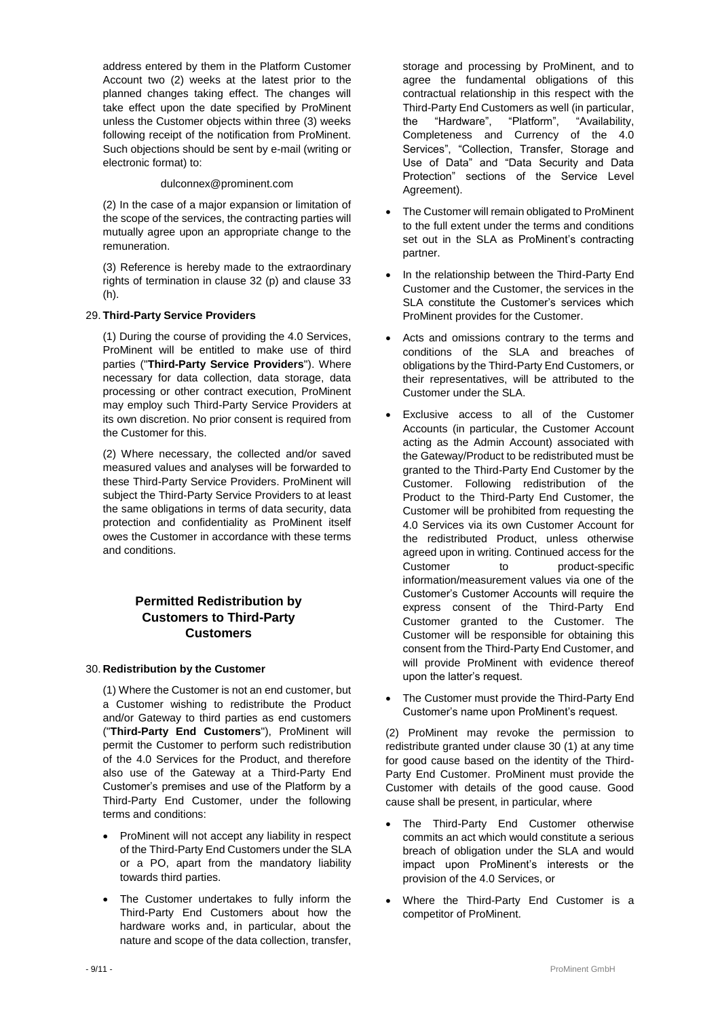address entered by them in the Platform Customer Account two (2) weeks at the latest prior to the planned changes taking effect. The changes will take effect upon the date specified by ProMinent unless the Customer objects within three (3) weeks following receipt of the notification from ProMinent. Such objections should be sent by e-mail (writing or electronic format) to:

dulconnex@prominent.com

(2) In the case of a major expansion or limitation of the scope of the services, the contracting parties will mutually agree upon an appropriate change to the remuneration.

(3) Reference is hereby made to the extraordinary rights of termination in clause 32 (p) and clause 33 (h).

#### 29. **Third-Party Service Providers**

(1) During the course of providing the 4.0 Services, ProMinent will be entitled to make use of third parties ("**Third-Party Service Providers**"). Where necessary for data collection, data storage, data processing or other contract execution, ProMinent may employ such Third-Party Service Providers at its own discretion. No prior consent is required from the Customer for this.

(2) Where necessary, the collected and/or saved measured values and analyses will be forwarded to these Third-Party Service Providers. ProMinent will subject the Third-Party Service Providers to at least the same obligations in terms of data security, data protection and confidentiality as ProMinent itself owes the Customer in accordance with these terms and conditions.

## **Permitted Redistribution by Customers to Third-Party Customers**

#### 30. **Redistribution by the Customer**

(1) Where the Customer is not an end customer, but a Customer wishing to redistribute the Product and/or Gateway to third parties as end customers ("**Third-Party End Customers**"), ProMinent will permit the Customer to perform such redistribution of the 4.0 Services for the Product, and therefore also use of the Gateway at a Third-Party End Customer's premises and use of the Platform by a Third-Party End Customer, under the following terms and conditions:

- ProMinent will not accept any liability in respect of the Third-Party End Customers under the SLA or a PO, apart from the mandatory liability towards third parties.
- The Customer undertakes to fully inform the Third-Party End Customers about how the hardware works and, in particular, about the nature and scope of the data collection, transfer,

storage and processing by ProMinent, and to agree the fundamental obligations of this contractual relationship in this respect with the Third-Party End Customers as well (in particular, the "Hardware", "Platform", "Availability, Completeness and Currency of the 4.0 Services", "Collection, Transfer, Storage and Use of Data" and "Data Security and Data Protection" sections of the Service Level Agreement).

- The Customer will remain obligated to ProMinent to the full extent under the terms and conditions set out in the SLA as ProMinent's contracting partner.
- In the relationship between the Third-Party End Customer and the Customer, the services in the SLA constitute the Customer's services which ProMinent provides for the Customer.
- Acts and omissions contrary to the terms and conditions of the SLA and breaches of obligations by the Third-Party End Customers, or their representatives, will be attributed to the Customer under the SLA.
- Exclusive access to all of the Customer Accounts (in particular, the Customer Account acting as the Admin Account) associated with the Gateway/Product to be redistributed must be granted to the Third-Party End Customer by the Customer. Following redistribution of the Product to the Third-Party End Customer, the Customer will be prohibited from requesting the 4.0 Services via its own Customer Account for the redistributed Product, unless otherwise agreed upon in writing. Continued access for the Customer to product-specific information/measurement values via one of the Customer's Customer Accounts will require the express consent of the Third-Party End Customer granted to the Customer. The Customer will be responsible for obtaining this consent from the Third-Party End Customer, and will provide ProMinent with evidence thereof upon the latter's request.
- The Customer must provide the Third-Party End Customer's name upon ProMinent's request.

(2) ProMinent may revoke the permission to redistribute granted under clause 30 (1) at any time for good cause based on the identity of the Third-Party End Customer. ProMinent must provide the Customer with details of the good cause. Good cause shall be present, in particular, where

- The Third-Party End Customer otherwise commits an act which would constitute a serious breach of obligation under the SLA and would impact upon ProMinent's interests or the provision of the 4.0 Services, or
- Where the Third-Party End Customer is a competitor of ProMinent.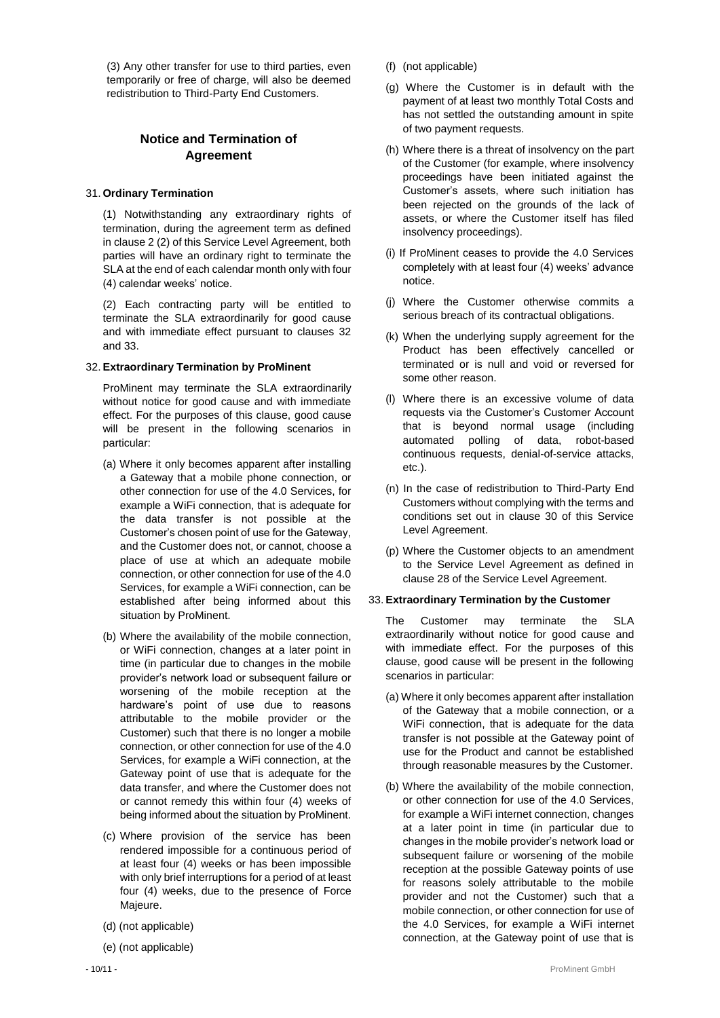(3) Any other transfer for use to third parties, even temporarily or free of charge, will also be deemed redistribution to Third-Party End Customers.

## **Notice and Termination of Agreement**

#### 31. **Ordinary Termination**

(1) Notwithstanding any extraordinary rights of termination, during the agreement term as defined in clause 2 (2) of this Service Level Agreement, both parties will have an ordinary right to terminate the SLA at the end of each calendar month only with four (4) calendar weeks' notice.

(2) Each contracting party will be entitled to terminate the SLA extraordinarily for good cause and with immediate effect pursuant to clauses 32 and 33.

#### 32. **Extraordinary Termination by ProMinent**

ProMinent may terminate the SLA extraordinarily without notice for good cause and with immediate effect. For the purposes of this clause, good cause will be present in the following scenarios in particular:

- (a) Where it only becomes apparent after installing a Gateway that a mobile phone connection, or other connection for use of the 4.0 Services, for example a WiFi connection, that is adequate for the data transfer is not possible at the Customer's chosen point of use for the Gateway, and the Customer does not, or cannot, choose a place of use at which an adequate mobile connection, or other connection for use of the 4.0 Services, for example a WiFi connection, can be established after being informed about this situation by ProMinent.
- (b) Where the availability of the mobile connection, or WiFi connection, changes at a later point in time (in particular due to changes in the mobile provider's network load or subsequent failure or worsening of the mobile reception at the hardware's point of use due to reasons attributable to the mobile provider or the Customer) such that there is no longer a mobile connection, or other connection for use of the 4.0 Services, for example a WiFi connection, at the Gateway point of use that is adequate for the data transfer, and where the Customer does not or cannot remedy this within four (4) weeks of being informed about the situation by ProMinent.
- (c) Where provision of the service has been rendered impossible for a continuous period of at least four (4) weeks or has been impossible with only brief interruptions for a period of at least four (4) weeks, due to the presence of Force Majeure.
- (d) (not applicable)
- (e) (not applicable)
- (f) (not applicable)
- (g) Where the Customer is in default with the payment of at least two monthly Total Costs and has not settled the outstanding amount in spite of two payment requests.
- (h) Where there is a threat of insolvency on the part of the Customer (for example, where insolvency proceedings have been initiated against the Customer's assets, where such initiation has been rejected on the grounds of the lack of assets, or where the Customer itself has filed insolvency proceedings).
- (i) If ProMinent ceases to provide the 4.0 Services completely with at least four (4) weeks' advance notice.
- (j) Where the Customer otherwise commits a serious breach of its contractual obligations.
- (k) When the underlying supply agreement for the Product has been effectively cancelled or terminated or is null and void or reversed for some other reason.
- (l) Where there is an excessive volume of data requests via the Customer's Customer Account that is beyond normal usage (including automated polling of data, robot-based continuous requests, denial-of-service attacks, etc.).
- (n) In the case of redistribution to Third-Party End Customers without complying with the terms and conditions set out in clause 30 of this Service Level Agreement.
- (p) Where the Customer objects to an amendment to the Service Level Agreement as defined in clause 28 of the Service Level Agreement.

#### 33. **Extraordinary Termination by the Customer**

The Customer may terminate the SLA extraordinarily without notice for good cause and with immediate effect. For the purposes of this clause, good cause will be present in the following scenarios in particular:

- (a) Where it only becomes apparent after installation of the Gateway that a mobile connection, or a WiFi connection, that is adequate for the data transfer is not possible at the Gateway point of use for the Product and cannot be established through reasonable measures by the Customer.
- (b) Where the availability of the mobile connection, or other connection for use of the 4.0 Services, for example a WiFi internet connection, changes at a later point in time (in particular due to changes in the mobile provider's network load or subsequent failure or worsening of the mobile reception at the possible Gateway points of use for reasons solely attributable to the mobile provider and not the Customer) such that a mobile connection, or other connection for use of the 4.0 Services, for example a WiFi internet connection, at the Gateway point of use that is